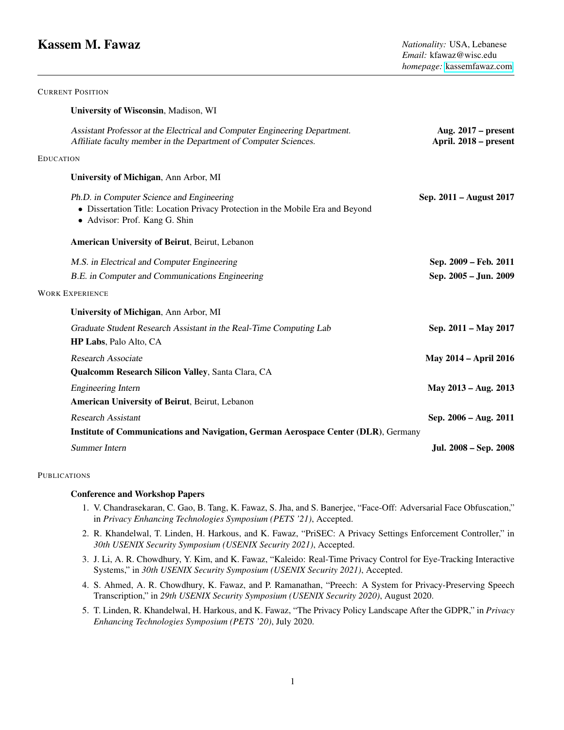# **Kassem M. Fawaz** *Nationality:* **USA, Lebanese**

CURRENT POSITION

|                        | University of Wisconsin, Madison, WI                                                                                                                         |                                                |
|------------------------|--------------------------------------------------------------------------------------------------------------------------------------------------------------|------------------------------------------------|
|                        | Assistant Professor at the Electrical and Computer Engineering Department.<br>Affiliate faculty member in the Department of Computer Sciences.               | Aug. $2017$ – present<br>April. 2018 – present |
| <b>EDUCATION</b>       |                                                                                                                                                              |                                                |
|                        | University of Michigan, Ann Arbor, MI                                                                                                                        |                                                |
|                        | Ph.D. in Computer Science and Engineering<br>• Dissertation Title: Location Privacy Protection in the Mobile Era and Beyond<br>• Advisor: Prof. Kang G. Shin | Sep. 2011 – August 2017                        |
|                        | American University of Beirut, Beirut, Lebanon                                                                                                               |                                                |
|                        | M.S. in Electrical and Computer Engineering                                                                                                                  | Sep. 2009 - Feb. 2011                          |
|                        | B.E. in Computer and Communications Engineering                                                                                                              | Sep. 2005 - Jun. 2009                          |
| <b>WORK EXPERIENCE</b> |                                                                                                                                                              |                                                |
|                        | University of Michigan, Ann Arbor, MI                                                                                                                        |                                                |
|                        | Graduate Student Research Assistant in the Real-Time Computing Lab<br>HP Labs, Palo Alto, CA                                                                 | Sep. 2011 - May 2017                           |
|                        | Research Associate                                                                                                                                           | <b>May 2014 - April 2016</b>                   |
|                        | Qualcomm Research Silicon Valley, Santa Clara, CA                                                                                                            |                                                |
|                        | <b>Engineering Intern</b>                                                                                                                                    | May 2013 - Aug. 2013                           |
|                        | American University of Beirut, Beirut, Lebanon                                                                                                               |                                                |
|                        | <b>Research Assistant</b>                                                                                                                                    | Sep. 2006 - Aug. 2011                          |
|                        | Institute of Communications and Navigation, German Aerospace Center (DLR), Germany                                                                           |                                                |
|                        | Summer Intern                                                                                                                                                | Jul. 2008 - Sep. 2008                          |

#### **PUBLICATIONS**

# Conference and Workshop Papers

- 1. V. Chandrasekaran, C. Gao, B. Tang, K. Fawaz, S. Jha, and S. Banerjee, "Face-Off: Adversarial Face Obfuscation," in *Privacy Enhancing Technologies Symposium (PETS '21)*, Accepted.
- 2. R. Khandelwal, T. Linden, H. Harkous, and K. Fawaz, "PriSEC: A Privacy Settings Enforcement Controller," in *30th USENIX Security Symposium (USENIX Security 2021)*, Accepted.
- 3. J. Li, A. R. Chowdhury, Y. Kim, and K. Fawaz, "Kaleido: Real-Time Privacy Control for Eye-Tracking Interactive Systems," in *30th USENIX Security Symposium (USENIX Security 2021)*, Accepted.
- 4. S. Ahmed, A. R. Chowdhury, K. Fawaz, and P. Ramanathan, "Preech: A System for Privacy-Preserving Speech Transcription," in *29th USENIX Security Symposium (USENIX Security 2020)*, August 2020.
- 5. T. Linden, R. Khandelwal, H. Harkous, and K. Fawaz, "The Privacy Policy Landscape After the GDPR," in *Privacy Enhancing Technologies Symposium (PETS '20)*, July 2020.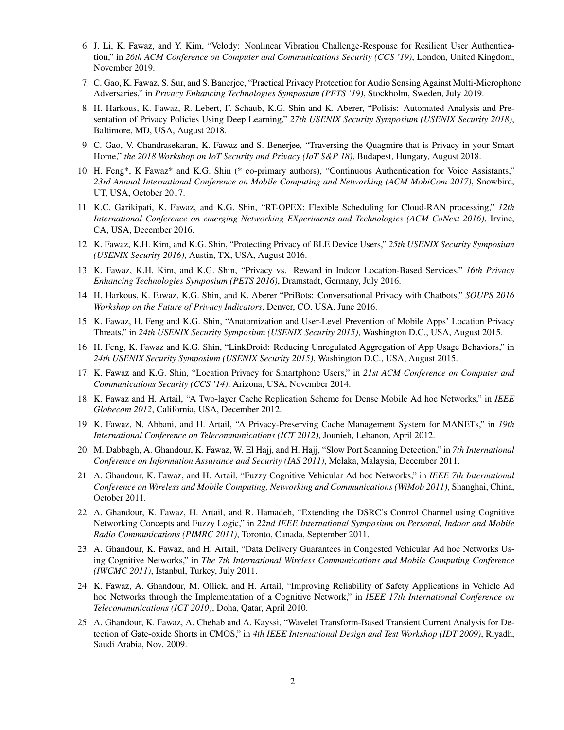- 6. J. Li, K. Fawaz, and Y. Kim, "Velody: Nonlinear Vibration Challenge-Response for Resilient User Authentication," in *26th ACM Conference on Computer and Communications Security (CCS '19)*, London, United Kingdom, November 2019.
- 7. C. Gao, K. Fawaz, S. Sur, and S. Banerjee, "Practical Privacy Protection for Audio Sensing Against Multi-Microphone Adversaries," in *Privacy Enhancing Technologies Symposium (PETS '19)*, Stockholm, Sweden, July 2019.
- 8. H. Harkous, K. Fawaz, R. Lebert, F. Schaub, K.G. Shin and K. Aberer, "Polisis: Automated Analysis and Presentation of Privacy Policies Using Deep Learning," *27th USENIX Security Symposium (USENIX Security 2018)*, Baltimore, MD, USA, August 2018.
- 9. C. Gao, V. Chandrasekaran, K. Fawaz and S. Benerjee, "Traversing the Quagmire that is Privacy in your Smart Home," *the 2018 Workshop on IoT Security and Privacy (IoT S&P 18)*, Budapest, Hungary, August 2018.
- 10. H. Feng\*, K Fawaz\* and K.G. Shin (\* co-primary authors), "Continuous Authentication for Voice Assistants," *23rd Annual International Conference on Mobile Computing and Networking (ACM MobiCom 2017)*, Snowbird, UT, USA, October 2017.
- 11. K.C. Garikipati, K. Fawaz, and K.G. Shin, "RT-OPEX: Flexible Scheduling for Cloud-RAN processing," *12th International Conference on emerging Networking EXperiments and Technologies (ACM CoNext 2016)*, Irvine, CA, USA, December 2016.
- 12. K. Fawaz, K.H. Kim, and K.G. Shin, "Protecting Privacy of BLE Device Users," *25th USENIX Security Symposium (USENIX Security 2016)*, Austin, TX, USA, August 2016.
- 13. K. Fawaz, K.H. Kim, and K.G. Shin, "Privacy vs. Reward in Indoor Location-Based Services," *16th Privacy Enhancing Technologies Symposium (PETS 2016)*, Dramstadt, Germany, July 2016.
- 14. H. Harkous, K. Fawaz, K.G. Shin, and K. Aberer "PriBots: Conversational Privacy with Chatbots," *SOUPS 2016 Workshop on the Future of Privacy Indicators*, Denver, CO, USA, June 2016.
- 15. K. Fawaz, H. Feng and K.G. Shin, "Anatomization and User-Level Prevention of Mobile Apps' Location Privacy Threats," in *24th USENIX Security Symposium (USENIX Security 2015)*, Washington D.C., USA, August 2015.
- 16. H. Feng, K. Fawaz and K.G. Shin, "LinkDroid: Reducing Unregulated Aggregation of App Usage Behaviors," in *24th USENIX Security Symposium (USENIX Security 2015)*, Washington D.C., USA, August 2015.
- 17. K. Fawaz and K.G. Shin, "Location Privacy for Smartphone Users," in *21st ACM Conference on Computer and Communications Security (CCS '14)*, Arizona, USA, November 2014.
- 18. K. Fawaz and H. Artail, "A Two-layer Cache Replication Scheme for Dense Mobile Ad hoc Networks," in *IEEE Globecom 2012*, California, USA, December 2012.
- 19. K. Fawaz, N. Abbani, and H. Artail, "A Privacy-Preserving Cache Management System for MANETs," in *19th International Conference on Telecommunications (ICT 2012)*, Jounieh, Lebanon, April 2012.
- 20. M. Dabbagh, A. Ghandour, K. Fawaz, W. El Hajj, and H. Hajj, "Slow Port Scanning Detection," in *7th International Conference on Information Assurance and Security (IAS 2011)*, Melaka, Malaysia, December 2011.
- 21. A. Ghandour, K. Fawaz, and H. Artail, "Fuzzy Cognitive Vehicular Ad hoc Networks," in *IEEE 7th International Conference on Wireless and Mobile Computing, Networking and Communications (WiMob 2011)*, Shanghai, China, October 2011.
- 22. A. Ghandour, K. Fawaz, H. Artail, and R. Hamadeh, "Extending the DSRC's Control Channel using Cognitive Networking Concepts and Fuzzy Logic," in *22nd IEEE International Symposium on Personal, Indoor and Mobile Radio Communications (PIMRC 2011)*, Toronto, Canada, September 2011.
- 23. A. Ghandour, K. Fawaz, and H. Artail, "Data Delivery Guarantees in Congested Vehicular Ad hoc Networks Using Cognitive Networks," in *The 7th International Wireless Communications and Mobile Computing Conference (IWCMC 2011)*, Istanbul, Turkey, July 2011.
- 24. K. Fawaz, A. Ghandour, M. Olliek, and H. Artail, "Improving Reliability of Safety Applications in Vehicle Ad hoc Networks through the Implementation of a Cognitive Network," in *IEEE 17th International Conference on Telecommunications (ICT 2010)*, Doha, Qatar, April 2010.
- 25. A. Ghandour, K. Fawaz, A. Chehab and A. Kayssi, "Wavelet Transform-Based Transient Current Analysis for Detection of Gate-oxide Shorts in CMOS," in *4th IEEE International Design and Test Workshop (IDT 2009)*, Riyadh, Saudi Arabia, Nov. 2009.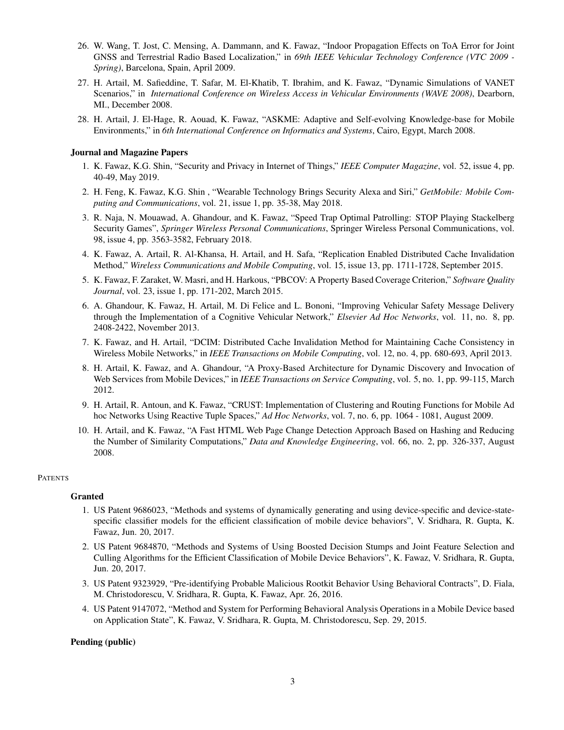- 26. W. Wang, T. Jost, C. Mensing, A. Dammann, and K. Fawaz, "Indoor Propagation Effects on ToA Error for Joint GNSS and Terrestrial Radio Based Localization," in *69th IEEE Vehicular Technology Conference (VTC 2009 - Spring)*, Barcelona, Spain, April 2009.
- 27. H. Artail, M. Safieddine, T. Safar, M. El-Khatib, T. Ibrahim, and K. Fawaz, "Dynamic Simulations of VANET Scenarios," in *International Conference on Wireless Access in Vehicular Environments (WAVE 2008)*, Dearborn, MI., December 2008.
- 28. H. Artail, J. El-Hage, R. Aouad, K. Fawaz, "ASKME: Adaptive and Self-evolving Knowledge-base for Mobile Environments," in *6th International Conference on Informatics and Systems*, Cairo, Egypt, March 2008.

#### Journal and Magazine Papers

- 1. K. Fawaz, K.G. Shin, "Security and Privacy in Internet of Things," *IEEE Computer Magazine*, vol. 52, issue 4, pp. 40-49, May 2019.
- 2. H. Feng, K. Fawaz, K.G. Shin , "Wearable Technology Brings Security Alexa and Siri," *GetMobile: Mobile Computing and Communications*, vol. 21, issue 1, pp. 35-38, May 2018.
- 3. R. Naja, N. Mouawad, A. Ghandour, and K. Fawaz, "Speed Trap Optimal Patrolling: STOP Playing Stackelberg Security Games", *Springer Wireless Personal Communications*, Springer Wireless Personal Communications, vol. 98, issue 4, pp. 3563-3582, February 2018.
- 4. K. Fawaz, A. Artail, R. Al-Khansa, H. Artail, and H. Safa, "Replication Enabled Distributed Cache Invalidation Method," *Wireless Communications and Mobile Computing*, vol. 15, issue 13, pp. 1711-1728, September 2015.
- 5. K. Fawaz, F. Zaraket, W. Masri, and H. Harkous, "PBCOV: A Property Based Coverage Criterion," *Software Quality Journal*, vol. 23, issue 1, pp. 171-202, March 2015.
- 6. A. Ghandour, K. Fawaz, H. Artail, M. Di Felice and L. Bononi, "Improving Vehicular Safety Message Delivery through the Implementation of a Cognitive Vehicular Network," *Elsevier Ad Hoc Networks*, vol. 11, no. 8, pp. 2408-2422, November 2013.
- 7. K. Fawaz, and H. Artail, "DCIM: Distributed Cache Invalidation Method for Maintaining Cache Consistency in Wireless Mobile Networks," in *IEEE Transactions on Mobile Computing*, vol. 12, no. 4, pp. 680-693, April 2013.
- 8. H. Artail, K. Fawaz, and A. Ghandour, "A Proxy-Based Architecture for Dynamic Discovery and Invocation of Web Services from Mobile Devices," in *IEEE Transactions on Service Computing*, vol. 5, no. 1, pp. 99-115, March 2012.
- 9. H. Artail, R. Antoun, and K. Fawaz, "CRUST: Implementation of Clustering and Routing Functions for Mobile Ad hoc Networks Using Reactive Tuple Spaces," *Ad Hoc Networks*, vol. 7, no. 6, pp. 1064 - 1081, August 2009.
- 10. H. Artail, and K. Fawaz, "A Fast HTML Web Page Change Detection Approach Based on Hashing and Reducing the Number of Similarity Computations," *Data and Knowledge Engineering*, vol. 66, no. 2, pp. 326-337, August 2008.

#### **PATENTS**

#### **Granted**

- 1. US Patent 9686023, "Methods and systems of dynamically generating and using device-specific and device-statespecific classifier models for the efficient classification of mobile device behaviors", V. Sridhara, R. Gupta, K. Fawaz, Jun. 20, 2017.
- 2. US Patent 9684870, "Methods and Systems of Using Boosted Decision Stumps and Joint Feature Selection and Culling Algorithms for the Efficient Classification of Mobile Device Behaviors", K. Fawaz, V. Sridhara, R. Gupta, Jun. 20, 2017.
- 3. US Patent 9323929, "Pre-identifying Probable Malicious Rootkit Behavior Using Behavioral Contracts", D. Fiala, M. Christodorescu, V. Sridhara, R. Gupta, K. Fawaz, Apr. 26, 2016.
- 4. US Patent 9147072, "Method and System for Performing Behavioral Analysis Operations in a Mobile Device based on Application State", K. Fawaz, V. Sridhara, R. Gupta, M. Christodorescu, Sep. 29, 2015.

#### Pending (public)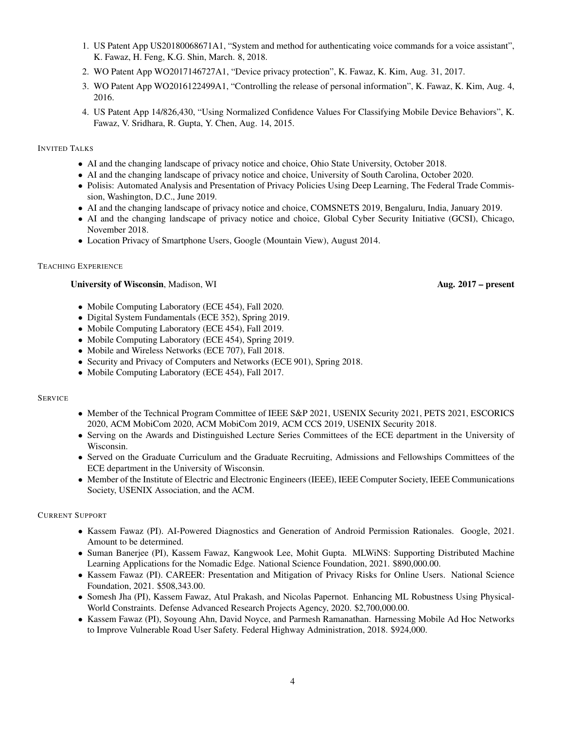- 1. US Patent App US20180068671A1, "System and method for authenticating voice commands for a voice assistant", K. Fawaz, H. Feng, K.G. Shin, March. 8, 2018.
- 2. WO Patent App WO2017146727A1, "Device privacy protection", K. Fawaz, K. Kim, Aug. 31, 2017.
- 3. WO Patent App WO2016122499A1, "Controlling the release of personal information", K. Fawaz, K. Kim, Aug. 4, 2016.
- 4. US Patent App 14/826,430, "Using Normalized Confidence Values For Classifying Mobile Device Behaviors", K. Fawaz, V. Sridhara, R. Gupta, Y. Chen, Aug. 14, 2015.

INVITED TALKS

- AI and the changing landscape of privacy notice and choice, Ohio State University, October 2018.
- AI and the changing landscape of privacy notice and choice, University of South Carolina, October 2020.
- Polisis: Automated Analysis and Presentation of Privacy Policies Using Deep Learning, The Federal Trade Commission, Washington, D.C., June 2019.
- AI and the changing landscape of privacy notice and choice, COMSNETS 2019, Bengaluru, India, January 2019.
- AI and the changing landscape of privacy notice and choice, Global Cyber Security Initiative (GCSI), Chicago, November 2018.
- Location Privacy of Smartphone Users, Google (Mountain View), August 2014.

#### TEACHING EXPERIENCE

#### University of Wisconsin, Madison, WI Aug. 2017 – present

- Mobile Computing Laboratory (ECE 454), Fall 2020.
- Digital System Fundamentals (ECE 352), Spring 2019.
- Mobile Computing Laboratory (ECE 454), Fall 2019.
- Mobile Computing Laboratory (ECE 454), Spring 2019.
- Mobile and Wireless Networks (ECE 707), Fall 2018.
- Security and Privacy of Computers and Networks (ECE 901), Spring 2018.
- Mobile Computing Laboratory (ECE 454), Fall 2017.

## **SERVICE**

- Member of the Technical Program Committee of IEEE S&P 2021, USENIX Security 2021, PETS 2021, ESCORICS 2020, ACM MobiCom 2020, ACM MobiCom 2019, ACM CCS 2019, USENIX Security 2018.
- Serving on the Awards and Distinguished Lecture Series Committees of the ECE department in the University of Wisconsin.
- Served on the Graduate Curriculum and the Graduate Recruiting, Admissions and Fellowships Committees of the ECE department in the University of Wisconsin.
- Member of the Institute of Electric and Electronic Engineers (IEEE), IEEE Computer Society, IEEE Communications Society, USENIX Association, and the ACM.

#### CURRENT SUPPORT

- Kassem Fawaz (PI). AI-Powered Diagnostics and Generation of Android Permission Rationales. Google, 2021. Amount to be determined.
- Suman Banerjee (PI), Kassem Fawaz, Kangwook Lee, Mohit Gupta. MLWiNS: Supporting Distributed Machine Learning Applications for the Nomadic Edge. National Science Foundation, 2021. \$890,000.00.
- Kassem Fawaz (PI). CAREER: Presentation and Mitigation of Privacy Risks for Online Users. National Science Foundation, 2021. \$508,343.00.
- Somesh Jha (PI), Kassem Fawaz, Atul Prakash, and Nicolas Papernot. Enhancing ML Robustness Using Physical-World Constraints. Defense Advanced Research Projects Agency, 2020. \$2,700,000.00.
- Kassem Fawaz (PI), Soyoung Ahn, David Noyce, and Parmesh Ramanathan. Harnessing Mobile Ad Hoc Networks to Improve Vulnerable Road User Safety. Federal Highway Administration, 2018. \$924,000.